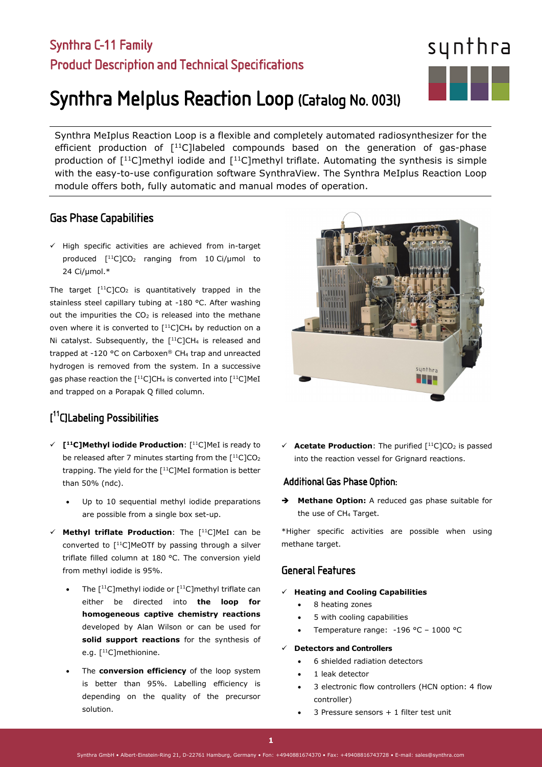# Synthra C-11 Family Product Description and Technical Specifications

# Synthra MeIplus Reaction Loop (Catalog No. 003l)

Synthra MeIplus Reaction Loop is a flexible and completely automated radiosynthesizer for the efficient production of [<sup>11</sup>C]labeled compounds based on the generation of gas-phase production of  $\lceil$ <sup>11</sup>C]methyl iodide and  $\lceil$ <sup>11</sup>C]methyl triflate. Automating the synthesis is simple with the easy-to-use configuration software SynthraView. The Synthra MeIplus Reaction Loop module offers both, fully automatic and manual modes of operation.

# Gas Phase Capabilities

 $\checkmark$  High specific activities are achieved from in-target produced  $[$ <sup>11</sup>C]CO<sub>2</sub> ranging from 10 Ci/µmol to 24 Ci/µmol.\*

The target  $[$ <sup>11</sup>C]CO<sub>2</sub> is quantitatively trapped in the stainless steel capillary tubing at -180 °C. After washing out the impurities the  $CO<sub>2</sub>$  is released into the methane oven where it is converted to  $[$ <sup>11</sup>C]CH<sub>4</sub> by reduction on a Ni catalyst. Subsequently, the  $[$ <sup>11</sup>C]CH<sub>4</sub> is released and trapped at -120 °C on Carboxen® CH4 trap and unreacted hydrogen is removed from the system. In a successive gas phase reaction the  $[$ <sup>11</sup>C]CH<sub>4</sub> is converted into  $[$ <sup>11</sup>C]MeI and trapped on a Porapak Q filled column.

# [ 11C]Labeling Possibilities

- **[11C]Methyl iodide Production**: [11C]MeI is ready to be released after 7 minutes starting from the  $[11C]CO<sub>2</sub>$ trapping. The yield for the  $[$ <sup>11</sup>C]MeI formation is better than 50% (ndc).
	- Up to 10 sequential methyl iodide preparations are possible from a single box set-up.
- **Methyl triflate Production**: The [11C]MeI can be converted to  $[$ <sup>11</sup>C]MeOTf by passing through a silver triflate filled column at 180 °C. The conversion yield from methyl iodide is 95%.
	- The  $[$ <sup>11</sup>C]methyl iodide or  $[$ <sup>11</sup>C]methyl triflate can either be directed into **the loop for homogeneous captive chemistry reactions** developed by Alan Wilson or can be used for **solid support reactions** for the synthesis of e.g. [<sup>11</sup>C]methionine.
	- The **conversion efficiency** of the loop system is better than 95%. Labelling efficiency is depending on the quality of the precursor solution.



synthra

 $\checkmark$  **Acetate Production**: The purified  $\lceil$ <sup>11</sup>C]CO<sub>2</sub> is passed into the reaction vessel for Grignard reactions.

### Additional Gas Phase Option:

 **Methane Option:** A reduced gas phase suitable for the use of CH<sub>4</sub> Target.

\*Higher specific activities are possible when using methane target.

## General Features

#### **Heating and Cooling Capabilities**

- 8 heating zones
- 5 with cooling capabilities
- Temperature range: -196 °C 1000 °C

#### **Detectors and Controllers**

- 6 shielded radiation detectors
- 1 leak detector
- 3 electronic flow controllers (HCN option: 4 flow controller)
- 3 Pressure sensors + 1 filter test unit